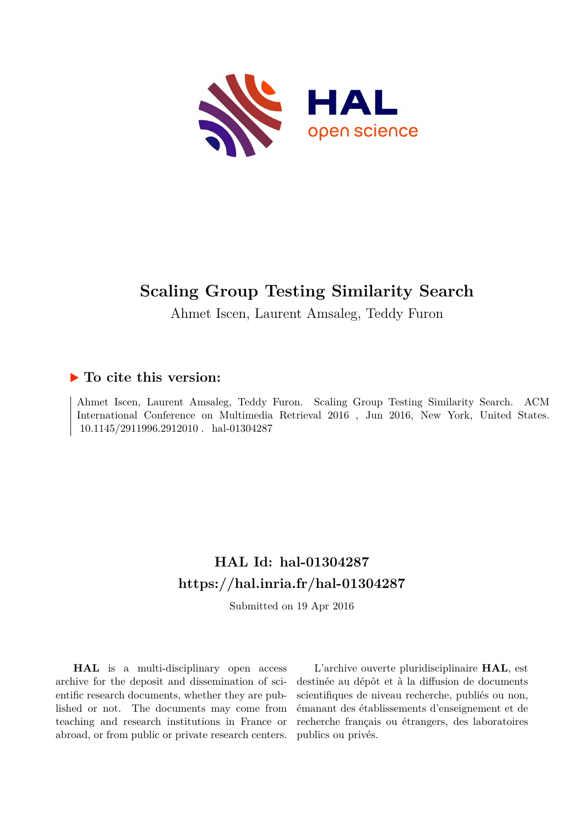

# **Scaling Group Testing Similarity Search**

Ahmet Iscen, Laurent Amsaleg, Teddy Furon

## **To cite this version:**

Ahmet Iscen, Laurent Amsaleg, Teddy Furon. Scaling Group Testing Similarity Search. ACM International Conference on Multimedia Retrieval 2016 , Jun 2016, New York, United States. 10.1145/2911996.2912010. hal-01304287

## **HAL Id: hal-01304287 <https://hal.inria.fr/hal-01304287>**

Submitted on 19 Apr 2016

**HAL** is a multi-disciplinary open access archive for the deposit and dissemination of scientific research documents, whether they are published or not. The documents may come from teaching and research institutions in France or abroad, or from public or private research centers.

L'archive ouverte pluridisciplinaire **HAL**, est destinée au dépôt et à la diffusion de documents scientifiques de niveau recherche, publiés ou non, émanant des établissements d'enseignement et de recherche français ou étrangers, des laboratoires publics ou privés.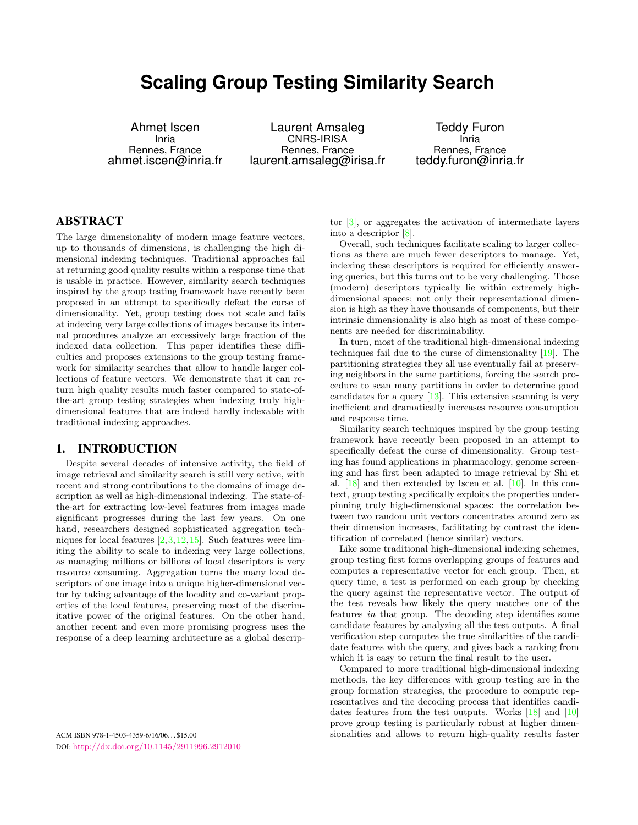## **Scaling Group Testing Similarity Search**

Ahmet Iscen Inria Rennes, France ahmet.iscen@inria.fr

Laurent Amsaleg CNRS-IRISA Rennes, France laurent.amsaleg@irisa.fr

Teddy Furon Inria Rennes, France teddy.furon@inria.fr

## ABSTRACT

The large dimensionality of modern image feature vectors, up to thousands of dimensions, is challenging the high dimensional indexing techniques. Traditional approaches fail at returning good quality results within a response time that is usable in practice. However, similarity search techniques inspired by the group testing framework have recently been proposed in an attempt to specifically defeat the curse of dimensionality. Yet, group testing does not scale and fails at indexing very large collections of images because its internal procedures analyze an excessively large fraction of the indexed data collection. This paper identifies these difficulties and proposes extensions to the group testing framework for similarity searches that allow to handle larger collections of feature vectors. We demonstrate that it can return high quality results much faster compared to state-ofthe-art group testing strategies when indexing truly highdimensional features that are indeed hardly indexable with traditional indexing approaches.

### 1. INTRODUCTION

Despite several decades of intensive activity, the field of image retrieval and similarity search is still very active, with recent and strong contributions to the domains of image description as well as high-dimensional indexing. The state-ofthe-art for extracting low-level features from images made significant progresses during the last few years. On one hand, researchers designed sophisticated aggregation techniques for local features  $[2,3,12,15]$  $[2,3,12,15]$  $[2,3,12,15]$  $[2,3,12,15]$ . Such features were limiting the ability to scale to indexing very large collections, as managing millions or billions of local descriptors is very resource consuming. Aggregation turns the many local descriptors of one image into a unique higher-dimensional vector by taking advantage of the locality and co-variant properties of the local features, preserving most of the discrimitative power of the original features. On the other hand, another recent and even more promising progress uses the response of a deep learning architecture as a global descriptor [\[3\]](#page-7-1), or aggregates the activation of intermediate layers into a descriptor [\[8\]](#page-7-3).

Overall, such techniques facilitate scaling to larger collections as there are much fewer descriptors to manage. Yet, indexing these descriptors is required for efficiently answering queries, but this turns out to be very challenging. Those (modern) descriptors typically lie within extremely highdimensional spaces; not only their representational dimension is high as they have thousands of components, but their intrinsic dimensionality is also high as most of these components are needed for discriminability.

In turn, most of the traditional high-dimensional indexing techniques fail due to the curse of dimensionality [\[19\]](#page-8-1). The partitioning strategies they all use eventually fail at preserving neighbors in the same partitions, forcing the search procedure to scan many partitions in order to determine good candidates for a query [\[13\]](#page-8-2). This extensive scanning is very inefficient and dramatically increases resource consumption and response time.

Similarity search techniques inspired by the group testing framework have recently been proposed in an attempt to specifically defeat the curse of dimensionality. Group testing has found applications in pharmacology, genome screening and has first been adapted to image retrieval by Shi et al. [\[18\]](#page-8-3) and then extended by Iscen et al. [\[10\]](#page-7-4). In this context, group testing specifically exploits the properties underpinning truly high-dimensional spaces: the correlation between two random unit vectors concentrates around zero as their dimension increases, facilitating by contrast the identification of correlated (hence similar) vectors.

Like some traditional high-dimensional indexing schemes, group testing first forms overlapping groups of features and computes a representative vector for each group. Then, at query time, a test is performed on each group by checking the query against the representative vector. The output of the test reveals how likely the query matches one of the features in that group. The decoding step identifies some candidate features by analyzing all the test outputs. A final verification step computes the true similarities of the candidate features with the query, and gives back a ranking from which it is easy to return the final result to the user.

Compared to more traditional high-dimensional indexing methods, the key differences with group testing are in the group formation strategies, the procedure to compute representatives and the decoding process that identifies candidates features from the test outputs. Works [\[18\]](#page-8-3) and [\[10\]](#page-7-4) prove group testing is particularly robust at higher dimensionalities and allows to return high-quality results faster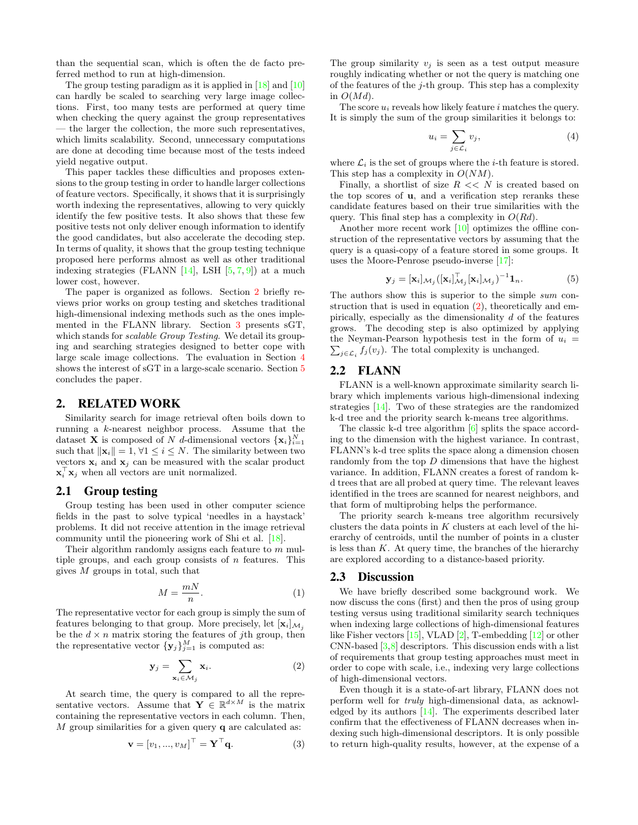than the sequential scan, which is often the de facto preferred method to run at high-dimension.

The group testing paradigm as it is applied in [\[18\]](#page-8-3) and [\[10\]](#page-7-4) can hardly be scaled to searching very large image collections. First, too many tests are performed at query time when checking the query against the group representatives the larger the collection, the more such representatives, which limits scalability. Second, unnecessary computations are done at decoding time because most of the tests indeed yield negative output.

This paper tackles these difficulties and proposes extensions to the group testing in order to handle larger collections of feature vectors. Specifically, it shows that it is surprisingly worth indexing the representatives, allowing to very quickly identify the few positive tests. It also shows that these few positive tests not only deliver enough information to identify the good candidates, but also accelerate the decoding step. In terms of quality, it shows that the group testing technique proposed here performs almost as well as other traditional indexing strategies (FLANN  $[14]$ , LSH  $[5, 7, 9]$  $[5, 7, 9]$  $[5, 7, 9]$  $[5, 7, 9]$ ) at a much lower cost, however.

The paper is organized as follows. Section [2](#page-2-0) briefly reviews prior works on group testing and sketches traditional high-dimensional indexing methods such as the ones implemented in the FLANN library. Section [3](#page-3-0) presents sGT, which stands for *scalable Group Testing*. We detail its grouping and searching strategies designed to better cope with large scale image collections. The evaluation in Section [4](#page-4-0) shows the interest of sGT in a large-scale scenario. Section [5](#page-7-8) concludes the paper.

### <span id="page-2-0"></span>2. RELATED WORK

Similarity search for image retrieval often boils down to running a k-nearest neighbor process. Assume that the dataset **X** is composed of N d-dimensional vectors  $\{\mathbf{x}_i\}_{i=1}^N$ such that  $\|\mathbf{x}_i\| = 1, \forall 1 \leq i \leq N$ . The similarity between two vectors  $\mathbf{x}_i$  and  $\mathbf{x}_j$  can be measured with the scalar product  $\mathbf{x}_i^{\top} \mathbf{x}_j$  when all vectors are unit normalized.

#### <span id="page-2-2"></span>2.1 Group testing

Group testing has been used in other computer science fields in the past to solve typical 'needles in a haystack' problems. It did not receive attention in the image retrieval community until the pioneering work of Shi et al. [\[18\]](#page-8-3).

Their algorithm randomly assigns each feature to m multiple groups, and each group consists of  $n$  features. This gives  $M$  groups in total, such that

<span id="page-2-4"></span>
$$
M = \frac{mN}{n}.\tag{1}
$$

The representative vector for each group is simply the sum of features belonging to that group. More precisely, let  $[\mathbf{x}_i]_{\mathcal{M}_i}$ be the  $d \times n$  matrix storing the features of jth group, then the representative vector  $\{y_j\}_{j=1}^M$  is computed as:

<span id="page-2-1"></span>
$$
\mathbf{y}_j = \sum_{\mathbf{x}_i \in \mathcal{M}_j} \mathbf{x}_i.
$$
 (2)

At search time, the query is compared to all the representative vectors. Assume that  $\mathbf{Y} \in \mathbb{R}^{d \times M}$  is the matrix containing the representative vectors in each column. Then,  $M$  group similarities for a given query **q** are calculated as:

<span id="page-2-6"></span>
$$
\mathbf{v} = [v_1, ..., v_M]^\top = \mathbf{Y}^\top \mathbf{q}.
$$
 (3)

The group similarity  $v_i$  is seen as a test output measure roughly indicating whether or not the query is matching one of the features of the  $j$ -th group. This step has a complexity in  $O(Md)$ .

The score  $u_i$  reveals how likely feature i matches the query. It is simply the sum of the group similarities it belongs to:

<span id="page-2-3"></span>
$$
u_i = \sum_{j \in \mathcal{L}_i} v_j,\tag{4}
$$

where  $\mathcal{L}_i$  is the set of groups where the *i*-th feature is stored. This step has a complexity in  $O(NM)$ .

Finally, a shortlist of size  $R \ll N$  is created based on the top scores of u, and a verification step reranks these candidate features based on their true similarities with the query. This final step has a complexity in  $O(Rd)$ .

Another more recent work [\[10\]](#page-7-4) optimizes the offline construction of the representative vectors by assuming that the query is a quasi-copy of a feature stored in some groups. It uses the Moore-Penrose pseudo-inverse [\[17\]](#page-8-5):

<span id="page-2-5"></span>
$$
\mathbf{y}_{j} = [\mathbf{x}_{i}]_{\mathcal{M}_{j}}([\mathbf{x}_{i}]_{\mathcal{M}_{j}}^{\top}[\mathbf{x}_{i}]_{\mathcal{M}_{j}})^{-1} \mathbf{1}_{n}.
$$
 (5)

The authors show this is superior to the simple sum construction that is used in equation  $(2)$ , theoretically and empirically, especially as the dimensionality  $d$  of the features grows. The decoding step is also optimized by applying  $\sum_{j\in\mathcal{L}_i} f_j(v_j)$ . The total complexity is unchanged. the Neyman-Pearson hypothesis test in the form of  $u_i =$ 

## 2.2 FLANN

FLANN is a well-known approximate similarity search library which implements various high-dimensional indexing strategies [\[14\]](#page-8-4). Two of these strategies are the randomized k-d tree and the priority search k-means tree algorithms.

The classic k-d tree algorithm [\[6\]](#page-7-9) splits the space according to the dimension with the highest variance. In contrast, FLANN's k-d tree splits the space along a dimension chosen randomly from the top  $D$  dimensions that have the highest variance. In addition, FLANN creates a forest of random kd trees that are all probed at query time. The relevant leaves identified in the trees are scanned for nearest neighbors, and that form of multiprobing helps the performance.

The priority search k-means tree algorithm recursively clusters the data points in  $K$  clusters at each level of the hierarchy of centroids, until the number of points in a cluster is less than  $K$ . At query time, the branches of the hierarchy are explored according to a distance-based priority.

#### 2.3 Discussion

We have briefly described some background work. We now discuss the cons (first) and then the pros of using group testing versus using traditional similarity search techniques when indexing large collections of high-dimensional features like Fisher vectors [\[15\]](#page-8-0), VLAD [\[2\]](#page-7-0), T-embedding [\[12\]](#page-7-2) or other CNN-based [\[3,](#page-7-1)[8\]](#page-7-3) descriptors. This discussion ends with a list of requirements that group testing approaches must meet in order to cope with scale, i.e., indexing very large collections of high-dimensional vectors.

Even though it is a state-of-art library, FLANN does not perform well for truly high-dimensional data, as acknowledged by its authors [\[14\]](#page-8-4). The experiments described later confirm that the effectiveness of FLANN decreases when indexing such high-dimensional descriptors. It is only possible to return high-quality results, however, at the expense of a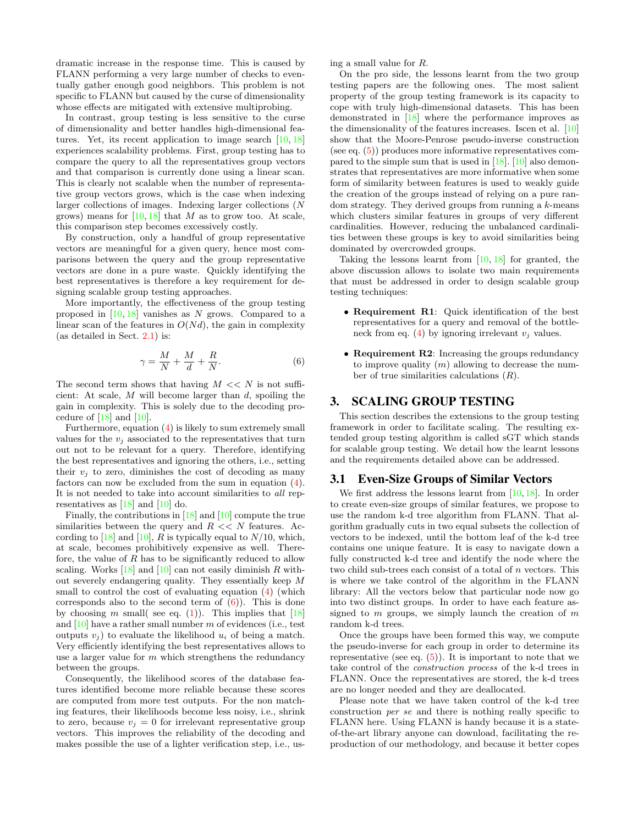dramatic increase in the response time. This is caused by FLANN performing a very large number of checks to eventually gather enough good neighbors. This problem is not specific to FLANN but caused by the curse of dimensionality whose effects are mitigated with extensive multiprobing.

In contrast, group testing is less sensitive to the curse of dimensionality and better handles high-dimensional features. Yet, its recent application to image search  $[10, 18]$  $[10, 18]$ experiences scalability problems. First, group testing has to compare the query to all the representatives group vectors and that comparison is currently done using a linear scan. This is clearly not scalable when the number of representative group vectors grows, which is the case when indexing larger collections of images. Indexing larger collections (N grows) means for  $[10, 18]$  $[10, 18]$  that M as to grow too. At scale, this comparison step becomes excessively costly.

By construction, only a handful of group representative vectors are meaningful for a given query, hence most comparisons between the query and the group representative vectors are done in a pure waste. Quickly identifying the best representatives is therefore a key requirement for designing scalable group testing approaches.

More importantly, the effectiveness of the group testing proposed in  $[10, 18]$  $[10, 18]$  vanishes as N grows. Compared to a linear scan of the features in  $O(Nd)$ , the gain in complexity (as detailed in Sect. [2.1\)](#page-2-2) is:

<span id="page-3-1"></span>
$$
\gamma = \frac{M}{N} + \frac{M}{d} + \frac{R}{N}.\tag{6}
$$

The second term shows that having  $M \ll N$  is not sufficient: At scale,  $M$  will become larger than  $d$ , spoiling the gain in complexity. This is solely due to the decoding procedure of  $[18]$  and  $[10]$ .

Furthermore, equation  $(4)$  is likely to sum extremely small values for the  $v_j$  associated to the representatives that turn out not to be relevant for a query. Therefore, identifying the best representatives and ignoring the others, i.e., setting their  $v_i$  to zero, diminishes the cost of decoding as many factors can now be excluded from the sum in equation [\(4\)](#page-2-3). It is not needed to take into account similarities to all representatives as  $[18]$  and  $[10]$  do.

Finally, the contributions in [\[18\]](#page-8-3) and [\[10\]](#page-7-4) compute the true similarities between the query and  $R \ll N$  features. Ac-cording to [\[18\]](#page-8-3) and [\[10\]](#page-7-4), R is typically equal to  $N/10$ , which, at scale, becomes prohibitively expensive as well. Therefore, the value of  $R$  has to be significantly reduced to allow scaling. Works  $[18]$  and  $[10]$  can not easily diminish R without severely endangering quality. They essentially keep M small to control the cost of evaluating equation  $(4)$  (which corresponds also to the second term of  $(6)$ ). This is done by choosing m small( see eq. [\(1\)](#page-2-4)). This implies that  $[18]$ and  $[10]$  have a rather small number m of evidences (i.e., test outputs  $v_i$ ) to evaluate the likelihood  $u_i$  of being a match. Very efficiently identifying the best representatives allows to use a larger value for  $m$  which strengthens the redundancy between the groups.

Consequently, the likelihood scores of the database features identified become more reliable because these scores are computed from more test outputs. For the non matching features, their likelihoods become less noisy, i.e., shrink to zero, because  $v_j = 0$  for irrelevant representative group vectors. This improves the reliability of the decoding and makes possible the use of a lighter verification step, i.e., using a small value for R.

On the pro side, the lessons learnt from the two group testing papers are the following ones. The most salient property of the group testing framework is its capacity to cope with truly high-dimensional datasets. This has been demonstrated in [\[18\]](#page-8-3) where the performance improves as the dimensionality of the features increases. Iscen et al. [\[10\]](#page-7-4) show that the Moore-Penrose pseudo-inverse construction (see eq.  $(5)$ ) produces more informative representatives compared to the simple sum that is used in [\[18\]](#page-8-3). [\[10\]](#page-7-4) also demonstrates that representatives are more informative when some form of similarity between features is used to weakly guide the creation of the groups instead of relying on a pure random strategy. They derived groups from running a k-means which clusters similar features in groups of very different cardinalities. However, reducing the unbalanced cardinalities between these groups is key to avoid similarities being dominated by overcrowded groups.

Taking the lessons learnt from  $[10, 18]$  $[10, 18]$  for granted, the above discussion allows to isolate two main requirements that must be addressed in order to design scalable group testing techniques:

- Requirement R1: Quick identification of the best representatives for a query and removal of the bottle-neck from eq. [\(4\)](#page-2-3) by ignoring irrelevant  $v_j$  values.
- Requirement R2: Increasing the groups redundancy to improve quality  $(m)$  allowing to decrease the number of true similarities calculations  $(R)$ .

### <span id="page-3-0"></span>3. SCALING GROUP TESTING

This section describes the extensions to the group testing framework in order to facilitate scaling. The resulting extended group testing algorithm is called sGT which stands for scalable group testing. We detail how the learnt lessons and the requirements detailed above can be addressed.

#### <span id="page-3-2"></span>3.1 Even-Size Groups of Similar Vectors

We first address the lessons learnt from  $[10, 18]$  $[10, 18]$ . In order to create even-size groups of similar features, we propose to use the random k-d tree algorithm from FLANN. That algorithm gradually cuts in two equal subsets the collection of vectors to be indexed, until the bottom leaf of the k-d tree contains one unique feature. It is easy to navigate down a fully constructed k-d tree and identify the node where the two child sub-trees each consist of a total of n vectors. This is where we take control of the algorithm in the FLANN library: All the vectors below that particular node now go into two distinct groups. In order to have each feature assigned to  $m$  groups, we simply launch the creation of  $m$ random k-d trees.

Once the groups have been formed this way, we compute the pseudo-inverse for each group in order to determine its representative (see eq.  $(5)$ ). It is important to note that we take control of the construction process of the k-d trees in FLANN. Once the representatives are stored, the k-d trees are no longer needed and they are deallocated.

Please note that we have taken control of the k-d tree construction per se and there is nothing really specific to FLANN here. Using FLANN is handy because it is a stateof-the-art library anyone can download, facilitating the reproduction of our methodology, and because it better copes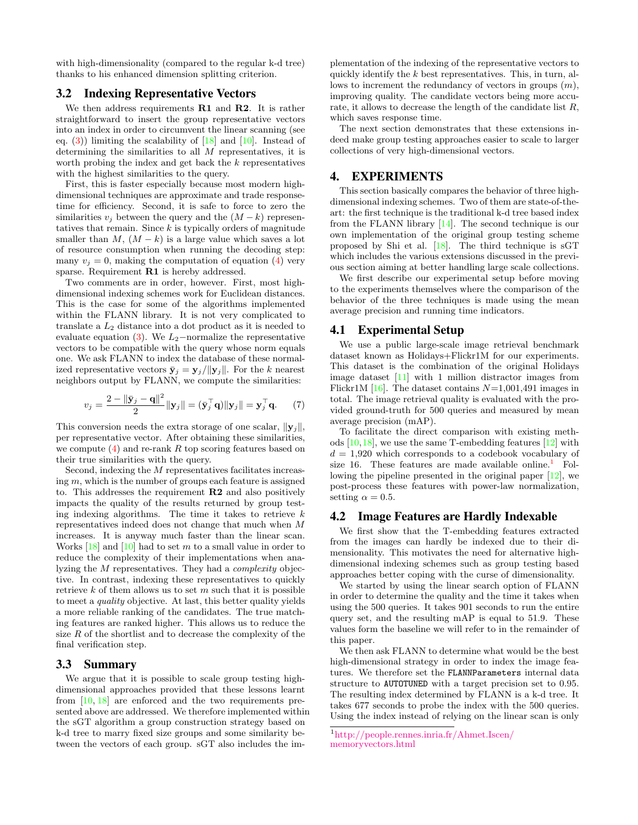with high-dimensionality (compared to the regular k-d tree) thanks to his enhanced dimension splitting criterion.

#### 3.2 Indexing Representative Vectors

We then address requirements **R1** and **R2**. It is rather straightforward to insert the group representative vectors into an index in order to circumvent the linear scanning (see eq.  $(3)$ ) limiting the scalability of [\[18\]](#page-8-3) and [\[10\]](#page-7-4). Instead of determining the similarities to all M representatives, it is worth probing the index and get back the  $k$  representatives with the highest similarities to the query.

First, this is faster especially because most modern highdimensional techniques are approximate and trade responsetime for efficiency. Second, it is safe to force to zero the similarities  $v_i$  between the query and the  $(M - k)$  representatives that remain. Since  $k$  is typically orders of magnitude smaller than  $M$ ,  $(M - k)$  is a large value which saves a lot of resource consumption when running the decoding step: many  $v_i = 0$ , making the computation of equation [\(4\)](#page-2-3) very sparse. Requirement **R1** is hereby addressed.

Two comments are in order, however. First, most highdimensional indexing schemes work for Euclidean distances. This is the case for some of the algorithms implemented within the FLANN library. It is not very complicated to translate a  $L_2$  distance into a dot product as it is needed to evaluate equation [\(3\)](#page-2-6). We  $L_2$ -normalize the representative vectors to be compatible with the query whose norm equals one. We ask FLANN to index the database of these normalized representative vectors  $\bar{\mathbf{y}}_j = \mathbf{y}_j / ||\mathbf{y}_j||$ . For the k nearest neighbors output by FLANN, we compute the similarities:

$$
v_j = \frac{2 - ||\bar{\mathbf{y}}_j - \mathbf{q}||^2}{2} ||\mathbf{y}_j|| = (\bar{\mathbf{y}}_j^\top \mathbf{q}) ||\mathbf{y}_j|| = \mathbf{y}_j^\top \mathbf{q}.
$$
 (7)

This conversion needs the extra storage of one scalar,  $\|\mathbf{y}_i\|$ , per representative vector. After obtaining these similarities, we compute  $(4)$  and re-rank R top scoring features based on their true similarities with the query.

Second, indexing the M representatives facilitates increasing  $m$ , which is the number of groups each feature is assigned to. This addresses the requirement  $R2$  and also positively impacts the quality of the results returned by group testing indexing algorithms. The time it takes to retrieve  $k$ representatives indeed does not change that much when M increases. It is anyway much faster than the linear scan. Works  $[18]$  and  $[10]$  had to set m to a small value in order to reduce the complexity of their implementations when analyzing the M representatives. They had a complexity objective. In contrast, indexing these representatives to quickly retrieve  $k$  of them allows us to set  $m$  such that it is possible to meet a quality objective. At last, this better quality yields a more reliable ranking of the candidates. The true matching features are ranked higher. This allows us to reduce the size  $R$  of the shortlist and to decrease the complexity of the final verification step.

#### 3.3 Summary

We argue that it is possible to scale group testing highdimensional approaches provided that these lessons learnt from [\[10,](#page-7-4) [18\]](#page-8-3) are enforced and the two requirements presented above are addressed. We therefore implemented within the sGT algorithm a group construction strategy based on k-d tree to marry fixed size groups and some similarity between the vectors of each group. sGT also includes the implementation of the indexing of the representative vectors to quickly identify the  $k$  best representatives. This, in turn, allows to increment the redundancy of vectors in groups  $(m)$ , improving quality. The candidate vectors being more accurate, it allows to decrease the length of the candidate list R, which saves response time.

The next section demonstrates that these extensions indeed make group testing approaches easier to scale to larger collections of very high-dimensional vectors.

#### <span id="page-4-0"></span>4. EXPERIMENTS

This section basically compares the behavior of three highdimensional indexing schemes. Two of them are state-of-theart: the first technique is the traditional k-d tree based index from the FLANN library [\[14\]](#page-8-4). The second technique is our own implementation of the original group testing scheme proposed by Shi et al. [\[18\]](#page-8-3). The third technique is sGT which includes the various extensions discussed in the previous section aiming at better handling large scale collections.

We first describe our experimental setup before moving to the experiments themselves where the comparison of the behavior of the three techniques is made using the mean average precision and running time indicators.

#### 4.1 Experimental Setup

We use a public large-scale image retrieval benchmark dataset known as Holidays+Flickr1M for our experiments. This dataset is the combination of the original Holidays image dataset [\[11\]](#page-7-10) with 1 million distractor images from Flickr1M [\[16\]](#page-8-6). The dataset contains  $N=1,001,491$  images in total. The image retrieval quality is evaluated with the provided ground-truth for 500 queries and measured by mean average precision (mAP).

To facilitate the direct comparison with existing methods [\[10,](#page-7-4)[18\]](#page-8-3), we use the same T-embedding features [\[12\]](#page-7-2) with  $d = 1,920$  which corresponds to a codebook vocabulary of size [1](#page-4-1)6. These features are made available online. $<sup>1</sup>$  Fol-</sup> lowing the pipeline presented in the original paper [\[12\]](#page-7-2), we post-process these features with power-law normalization, setting  $\alpha = 0.5$ .

#### <span id="page-4-2"></span>4.2 Image Features are Hardly Indexable

We first show that the T-embedding features extracted from the images can hardly be indexed due to their dimensionality. This motivates the need for alternative highdimensional indexing schemes such as group testing based approaches better coping with the curse of dimensionality.

We started by using the linear search option of FLANN in order to determine the quality and the time it takes when using the 500 queries. It takes 901 seconds to run the entire query set, and the resulting mAP is equal to 51.9. These values form the baseline we will refer to in the remainder of this paper.

We then ask FLANN to determine what would be the best high-dimensional strategy in order to index the image features. We therefore set the FLANNParameters internal data structure to AUTOTUNED with a target precision set to 0.95. The resulting index determined by FLANN is a k-d tree. It takes 677 seconds to probe the index with the 500 queries. Using the index instead of relying on the linear scan is only

<span id="page-4-1"></span><sup>1</sup>[http://people.rennes.inria.fr/Ahmet.Iscen/](http://people.rennes.inria.fr/Ahmet.Iscen/memoryvectors.html) [memoryvectors.html](http://people.rennes.inria.fr/Ahmet.Iscen/memoryvectors.html)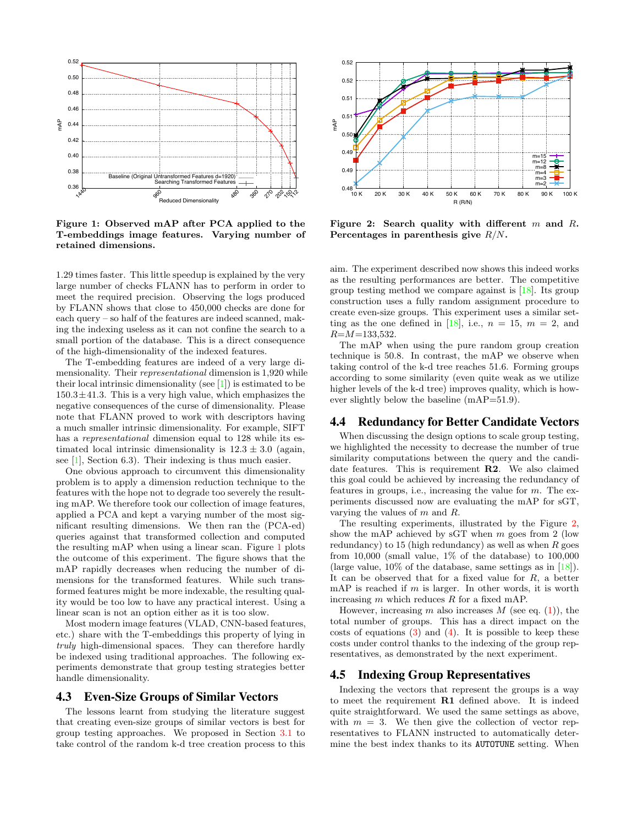

<span id="page-5-0"></span>Figure 1: Observed mAP after PCA applied to the T-embeddings image features. Varying number of retained dimensions.

1.29 times faster. This little speedup is explained by the very large number of checks FLANN has to perform in order to meet the required precision. Observing the logs produced by FLANN shows that close to 450,000 checks are done for each query – so half of the features are indeed scanned, making the indexing useless as it can not confine the search to a small portion of the database. This is a direct consequence of the high-dimensionality of the indexed features.

The T-embedding features are indeed of a very large dimensionality. Their representational dimension is 1,920 while their local intrinsic dimensionality (see  $[1]$ ) is estimated to be  $150.3 \pm 41.3$ . This is a very high value, which emphasizes the negative consequences of the curse of dimensionality. Please note that FLANN proved to work with descriptors having a much smaller intrinsic dimensionality. For example, SIFT has a *representational* dimension equal to 128 while its estimated local intrinsic dimensionality is  $12.3 \pm 3.0$  (again, see  $[1]$ , Section 6.3). Their indexing is thus much easier.

One obvious approach to circumvent this dimensionality problem is to apply a dimension reduction technique to the features with the hope not to degrade too severely the resulting mAP. We therefore took our collection of image features, applied a PCA and kept a varying number of the most significant resulting dimensions. We then ran the (PCA-ed) queries against that transformed collection and computed the resulting mAP when using a linear scan. Figure 1 plots the outcome of this experiment. The figure shows that the mAP rapidly decreases when reducing the number of dimensions for the transformed features. While such transformed features might be more indexable, the resulting quality would be too low to have any practical interest. Using a linear scan is not an option either as it is too slow.

Most modern image features (VLAD, CNN-based features, etc.) share with the T-embeddings this property of lying in *truly* high-dimensional spaces. They can therefore hardly be indexed using traditional approaches. The following experiments demonstrate that group testing strategies better handle dimensionality.

#### **Even-Size Groups of Similar Vectors** 4.3

The lessons learnt from studying the literature suggest that creating even-size groups of similar vectors is best for group testing approaches. We proposed in Section  $3.1$  to take control of the random k-d tree creation process to this



<span id="page-5-1"></span>Figure 2: Search quality with different  $m$  and  $R$ . Percentages in parenthesis give  $R/N$ .

aim. The experiment described now shows this indeed works as the resulting performances are better. The competitive group testing method we compare against is  $[18]$ . Its group construction uses a fully random assignment procedure to create even-size groups. This experiment uses a similar setting as the one defined in [18], i.e.,  $n = 15$ ,  $m = 2$ , and  $R = M = 133,532.$ 

The mAP when using the pure random group creation technique is 50.8. In contrast, the mAP we observe when taking control of the k-d tree reaches 51.6. Forming groups according to some similarity (even quite weak as we utilize higher levels of the k-d tree) improves quality, which is however slightly below the baseline  $(mAP=51.9)$ .

#### 4.4 **Redundancy for Better Candidate Vectors**

When discussing the design options to scale group testing, we highlighted the necessity to decrease the number of true similarity computations between the query and the candidate features. This is requirement  $R2$ . We also claimed this goal could be achieved by increasing the redundancy of features in groups, i.e., increasing the value for  $m$ . The experiments discussed now are evaluating the mAP for sGT, varying the values of  $m$  and  $R$ .

The resulting experiments, illustrated by the Figure 2, show the mAP achieved by sGT when  $m$  goes from 2 (low redundancy) to 15 (high redundancy) as well as when  $R$  goes from  $10,000$  (small value,  $1\%$  of the database) to  $100,000$ (large value,  $10\%$  of the database, same settings as in [18]). It can be observed that for a fixed value for  $R$ , a better mAP is reached if  $m$  is larger. In other words, it is worth increasing  $m$  which reduces  $R$  for a fixed mAP.

However, increasing m also increases M (see eq.  $(1)$ ), the total number of groups. This has a direct impact on the costs of equations  $(3)$  and  $(4)$ . It is possible to keep these costs under control thanks to the indexing of the group representatives, as demonstrated by the next experiment.

#### $4.5$ **Indexing Group Representatives**

Indexing the vectors that represent the groups is a way to meet the requirement  $R1$  defined above. It is indeed quite straightforward. We used the same settings as above, with  $m = 3$ . We then give the collection of vector representatives to FLANN instructed to automatically determine the best index thanks to its AUTOTUNE setting. When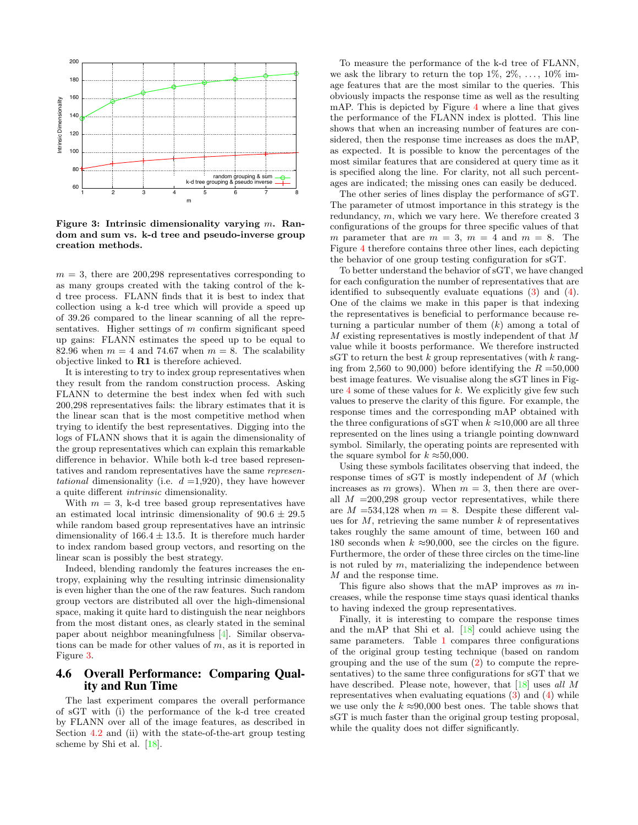

<span id="page-6-0"></span>Figure 3: Intrinsic dimensionality varying m. Random and sum vs. k-d tree and pseudo-inverse group creation methods.

 $m = 3$ , there are 200,298 representatives corresponding to as many groups created with the taking control of the kd tree process. FLANN finds that it is best to index that collection using a k-d tree which will provide a speed up of 39.26 compared to the linear scanning of all the representatives. Higher settings of  $m$  confirm significant speed up gains: FLANN estimates the speed up to be equal to 82.96 when  $m = 4$  and 74.67 when  $m = 8$ . The scalability objective linked to R1 is therefore achieved.

It is interesting to try to index group representatives when they result from the random construction process. Asking FLANN to determine the best index when fed with such 200,298 representatives fails: the library estimates that it is the linear scan that is the most competitive method when trying to identify the best representatives. Digging into the logs of FLANN shows that it is again the dimensionality of the group representatives which can explain this remarkable difference in behavior. While both k-d tree based representatives and random representatives have the same representational dimensionality (i.e.  $d = 1,920$ ), they have however a quite different intrinsic dimensionality.

With  $m = 3$ , k-d tree based group representatives have an estimated local intrinsic dimensionality of  $90.6 \pm 29.5$ while random based group representatives have an intrinsic dimensionality of  $166.4 \pm 13.5$ . It is therefore much harder to index random based group vectors, and resorting on the linear scan is possibly the best strategy.

Indeed, blending randomly the features increases the entropy, explaining why the resulting intrinsic dimensionality is even higher than the one of the raw features. Such random group vectors are distributed all over the high-dimensional space, making it quite hard to distinguish the near neighbors from the most distant ones, as clearly stated in the seminal paper about neighbor meaningfulness [\[4\]](#page-7-12). Similar observations can be made for other values of  $m$ , as it is reported in Figure [3.](#page-6-0)

## 4.6 Overall Performance: Comparing Quality and Run Time

The last experiment compares the overall performance of sGT with (i) the performance of the k-d tree created by FLANN over all of the image features, as described in Section [4.2](#page-4-2) and (ii) with the state-of-the-art group testing scheme by Shi et al. [\[18\]](#page-8-3).

To measure the performance of the k-d tree of FLANN, we ask the library to return the top  $1\%$ ,  $2\%$ , ...,  $10\%$  image features that are the most similar to the queries. This obviously impacts the response time as well as the resulting mAP. This is depicted by Figure [4](#page-7-13) where a line that gives the performance of the FLANN index is plotted. This line shows that when an increasing number of features are considered, then the response time increases as does the mAP, as expected. It is possible to know the percentages of the most similar features that are considered at query time as it is specified along the line. For clarity, not all such percentages are indicated; the missing ones can easily be deduced.

The other series of lines display the performance of sGT. The parameter of utmost importance in this strategy is the redundancy, m, which we vary here. We therefore created 3 configurations of the groups for three specific values of that m parameter that are  $m = 3$ ,  $m = 4$  and  $m = 8$ . The Figure [4](#page-7-13) therefore contains three other lines, each depicting the behavior of one group testing configuration for sGT.

To better understand the behavior of sGT, we have changed for each configuration the number of representatives that are identified to subsequently evaluate equations [\(3\)](#page-2-6) and [\(4\)](#page-2-3). One of the claims we make in this paper is that indexing the representatives is beneficial to performance because returning a particular number of them  $(k)$  among a total of M existing representatives is mostly independent of that M value while it boosts performance. We therefore instructed sGT to return the best k group representatives (with k ranging from 2,560 to 90,000) before identifying the  $R = 50,000$ best image features. We visualise along the sGT lines in Figure  $4$  some of these values for  $k$ . We explicitly give few such values to preserve the clarity of this figure. For example, the response times and the corresponding mAP obtained with the three configurations of sGT when  $k \approx 10,000$  are all three represented on the lines using a triangle pointing downward symbol. Similarly, the operating points are represented with the square symbol for  $k \approx 50,000$ .

Using these symbols facilitates observing that indeed, the response times of sGT is mostly independent of M (which increases as m grows). When  $m = 3$ , then there are overall  $M = 200,298$  group vector representatives, while there are  $M = 534,128$  when  $m = 8$ . Despite these different values for  $M$ , retrieving the same number  $k$  of representatives takes roughly the same amount of time, between 160 and 180 seconds when  $k \approx 90,000$ , see the circles on the figure. Furthermore, the order of these three circles on the time-line is not ruled by  $m$ , materializing the independence between M and the response time.

This figure also shows that the mAP improves as  $m$  increases, while the response time stays quasi identical thanks to having indexed the group representatives.

Finally, it is interesting to compare the response times and the mAP that Shi et al. [\[18\]](#page-8-3) could achieve using the same parameters. Table [1](#page-7-14) compares three configurations of the original group testing technique (based on random grouping and the use of the sum [\(2\)](#page-2-1) to compute the representatives) to the same three configurations for sGT that we have described. Please note, however, that [\[18\]](#page-8-3) uses all M representatives when evaluating equations [\(3\)](#page-2-6) and [\(4\)](#page-2-3) while we use only the  $k \approx 90,000$  best ones. The table shows that sGT is much faster than the original group testing proposal, while the quality does not differ significantly.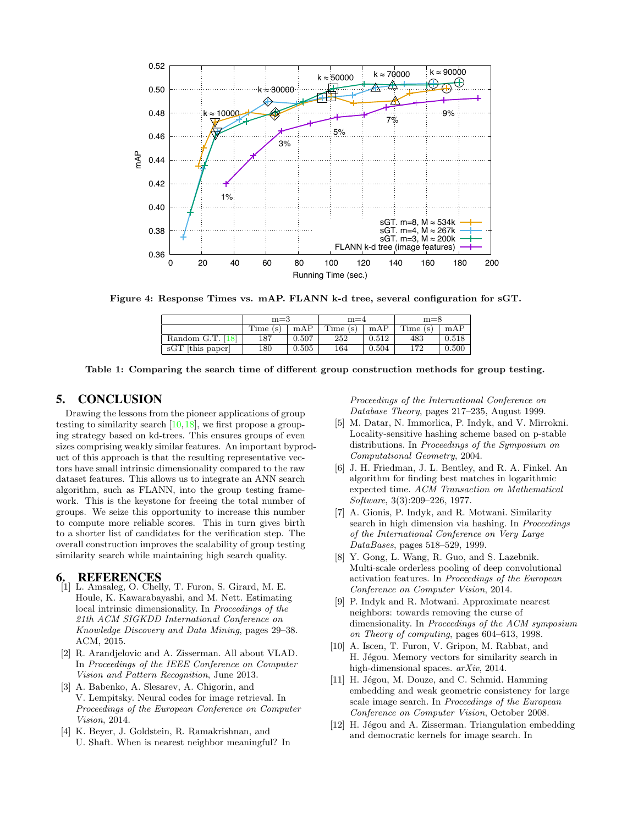

Figure 4: Response Times vs. mAP. FLANN k-d tree, several configuration for sGT.

<span id="page-7-13"></span>

|                         | $m=3$                             |       | $m=4$   |       | $m=8$                      |              |
|-------------------------|-----------------------------------|-------|---------|-------|----------------------------|--------------|
|                         | Time<br>$\left( \text{s} \right)$ | mAP   | Time(s) | mAP   | $Time$ .<br>$\mathbf{S}^1$ | $_{\rm mAP}$ |
| Random G.T.             | 187                               | 0.507 | 252     | 0.512 | 483                        | 0.518        |
| $\rm sGT$<br>this paper | 180                               | 0.505 | 164     | 0.504 | ר י                        | 0.500        |

<span id="page-7-14"></span>Table 1: Comparing the search time of different group construction methods for group testing.

#### <span id="page-7-8"></span>**CONCLUSION** 5.

Drawing the lessons from the pioneer applications of group testing to similarity search  $[10, 18]$ , we first propose a grouping strategy based on kd-trees. This ensures groups of even sizes comprising weakly similar features. An important byproduct of this approach is that the resulting representative vectors have small intrinsic dimensionality compared to the raw dataset features. This allows us to integrate an ANN search algorithm, such as FLANN, into the group testing framework. This is the keystone for freeing the total number of groups. We seize this opportunity to increase this number to compute more reliable scores. This in turn gives birth to a shorter list of candidates for the verification step. The overall construction improves the scalability of group testing similarity search while maintaining high search quality.

#### 6. **REFERENCES**

- <span id="page-7-11"></span>[1] L. Amsaleg, O. Chelly, T. Furon, S. Girard, M. E. Houle, K. Kawarabayashi, and M. Nett. Estimating local intrinsic dimensionality. In Proceedings of the 21th ACM SIGKDD International Conference on Knowledge Discovery and Data Mining, pages 29-38. ACM, 2015.
- <span id="page-7-0"></span>[2] R. Arandjelovic and A. Zisserman. All about VLAD. In Proceedings of the IEEE Conference on Computer Vision and Pattern Recognition, June 2013.
- <span id="page-7-1"></span>[3] A. Babenko, A. Slesarev, A. Chigorin, and V. Lempitsky. Neural codes for image retrieval. In Proceedings of the European Conference on Computer Vision, 2014.
- <span id="page-7-12"></span>[4] K. Beyer, J. Goldstein, R. Ramakrishnan, and U. Shaft. When is nearest neighbor meaningful? In

Proceedings of the International Conference on Database Theory, pages 217-235, August 1999.

- <span id="page-7-5"></span>[5] M. Datar, N. Immorlica, P. Indyk, and V. Mirrokni. Locality-sensitive hashing scheme based on p-stable distributions. In Proceedings of the Symposium on Computational Geometry, 2004.
- <span id="page-7-9"></span>[6] J. H. Friedman, J. L. Bentley, and R. A. Finkel. An algorithm for finding best matches in logarithmic expected time. ACM Transaction on Mathematical Software, 3(3):209-226, 1977.
- <span id="page-7-6"></span>[7] A. Gionis, P. Indyk, and R. Motwani. Similarity search in high dimension via hashing. In Proceedings of the International Conference on Very Large DataBases, pages 518-529, 1999.
- <span id="page-7-3"></span>[8] Y. Gong, L. Wang, R. Guo, and S. Lazebnik. Multi-scale orderless pooling of deep convolutional activation features. In Proceedings of the European Conference on Computer Vision, 2014.
- <span id="page-7-7"></span>[9] P. Indyk and R. Motwani. Approximate nearest neighbors: towards removing the curse of dimensionality. In Proceedings of the ACM symposium on Theory of computing, pages 604-613, 1998.
- <span id="page-7-4"></span>[10] A. Iscen, T. Furon, V. Gripon, M. Rabbat, and H. Jégou. Memory vectors for similarity search in high-dimensional spaces.  $arXiv$ , 2014.
- <span id="page-7-10"></span>[11] H. Jégou, M. Douze, and C. Schmid. Hamming embedding and weak geometric consistency for large scale image search. In Proceedings of the European Conference on Computer Vision, October 2008.
- <span id="page-7-2"></span>[12] H. Jégou and A. Zisserman. Triangulation embedding and democratic kernels for image search. In